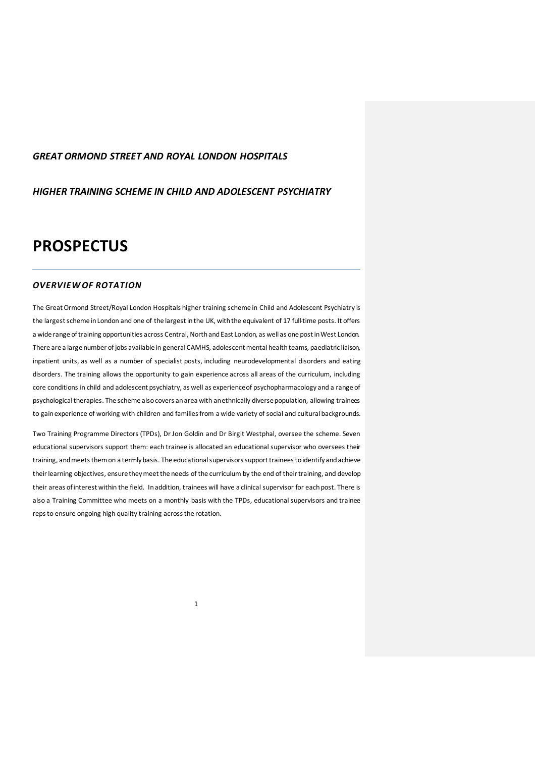## *GREAT ORMOND STREET AND ROYAL LONDON HOSPITALS*

*HIGHER TRAINING SCHEME IN CHILD AND ADOLESCENT PSYCHIATRY*

# **PROSPECTUS**

## *OVERVIEW OF ROTATION*

The Great Ormond Street/Royal London Hospitals higher training scheme in Child and Adolescent Psychiatry is the largest scheme in London and one of the largest in the UK, with the equivalent of 17 full-time posts. It offers a wide range of training opportunities across Central, North and East London, as well as one post in West London. There are a large number of jobs available in general CAMHS, adolescent mental health teams, paediatric liaison, inpatient units, as well as a number of specialist posts, including neurodevelopmental disorders and eating disorders. The training allows the opportunity to gain experience across all areas of the curriculum, including core conditions in child and adolescent psychiatry, as well as experience of psychopharmacology and a range of psychological therapies. The scheme also covers an area with an ethnically diversepopulation, allowing trainees to gain experience of working with children and families from a wide variety of social and cultural backgrounds.

Two Training Programme Directors (TPDs), Dr Jon Goldin and Dr Birgit Westphal, oversee the scheme. Seven educational supervisors support them: each trainee is allocated an educational supervisor who oversees their training, and meets themon a termly basis. The educational supervisors support trainees to identify and achieve their learning objectives, ensurethey meet the needs of the curriculum by the end of their training, and develop their areas of interest within the field. In addition, trainees will have a clinical supervisor for each post. There is also a Training Committee who meets on a monthly basis with the TPDs, educational supervisors and trainee reps to ensure ongoing high quality training across the rotation.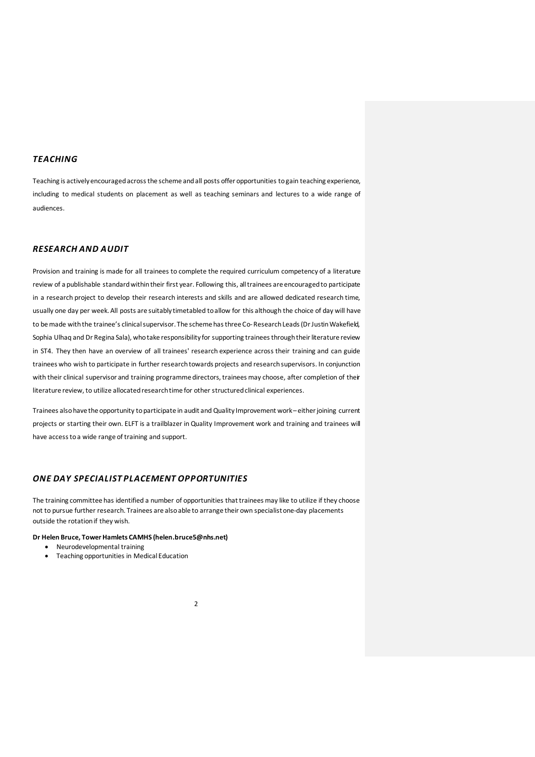## *TEACHING*

Teaching is actively encouraged across the scheme and all posts offer opportunities to gain teaching experience, including to medical students on placement as well as teaching seminars and lectures to a wide range of audiences.

## *RESEARCH AND AUDIT*

Provision and training is made for all trainees to complete the required curriculum competency of a literature review of a publishable standard within their first year. Following this, all trainees are encouraged to participate in a research project to develop their research interests and skills and are allowed dedicated research time, usually one day per week. All posts are suitably timetabled to allow for this although the choice of day will have to be made with the trainee's clinical supervisor. The scheme hasthree Co-ResearchLeads(Dr Justin Wakefield, Sophia Ulhaq and Dr Regina Sala), who take responsibility for supporting trainees through their literature review in ST4. They then have an overview of all trainees' research experience across their training and can guide trainees who wish to participate in further research towards projects and research supervisors. In conjunction with their clinical supervisor and training programme directors, trainees may choose, after completion of their literature review, to utilize allocated research time for other structured clinical experiences.

Trainees also have the opportunity to participate in audit and Quality Improvement work – either joining current projects or starting their own. ELFT is a trailblazer in Quality Improvement work and training and trainees will have access to a wide range of training and support.

## *ONE DAY SPECIALIST PLACEMENT OPPORTUNITIES*

The training committee has identified a number of opportunities that trainees may like to utilize if they choose not to pursue further research. Trainees are also able to arrange their own specialist one-day placements outside the rotation if they wish.

#### **Dr Helen Bruce, Tower Hamlets CAMHS (helen.bruce5@nhs.net)**

- Neurodevelopmental training
- Teaching opportunities in Medical Education
- 2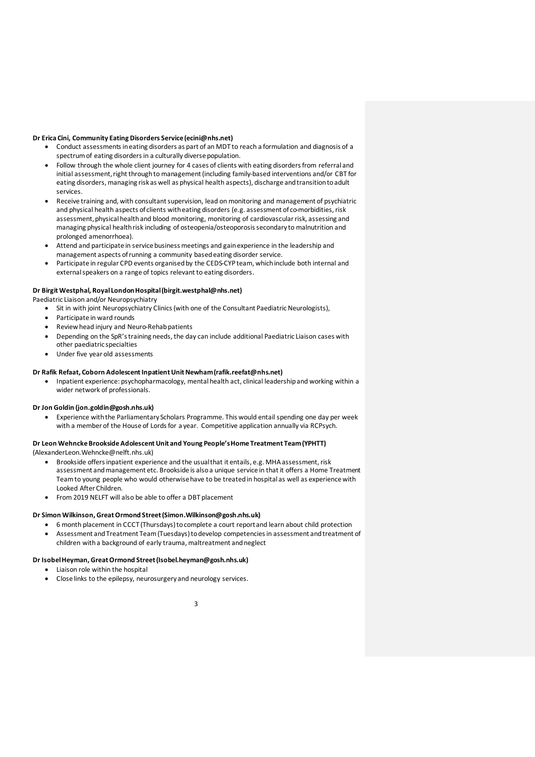#### **Dr Erica Cini, Community Eating Disorders Service(ecini@nhs.net)**

- Conduct assessments in eating disorders as part of an MDT to reach a formulation and diagnosis of a spectrum of eating disorders in a culturally diverse population.
- Follow through the whole client journey for 4 cases of clients with eating disorders from referral and initial assessment, right through to management (including family-based interventions and/or CBT for eating disorders, managing risk as well as physical health aspects), discharge and transition to adult services.
- Receive training and, with consultant supervision, lead on monitoring and management of psychiatric and physical health aspects of clients with eating disorders (e.g. assessment of co-morbidities, risk assessment, physical health and blood monitoring, monitoring of cardiovascular risk, assessing and managing physical health risk including of osteopenia/osteoporosis secondary to malnutrition and prolonged amenorrhoea).
- Attend and participate in service business meetings and gain experience in the leadership and management aspects of running a community based eating disorder service.
- Participate in regular CPD events organised by the CEDS-CYP team, which include both internal and external speakers on a range of topics relevant to eating disorders.

#### **Dr Birgit Westphal, Royal London Hospital(birgit.westphal@nhs.net)**

Paediatric Liaison and/or Neuropsychiatry

- Sit in with joint Neuropsychiatry Clinics (with one of the Consultant Paediatric Neurologists),
- Participate in ward rounds
- Review head injury and Neuro-Rehab patients
- Depending on the SpR'straining needs, the day can include additional Paediatric Liaison cases with other paediatric specialties
- Under five year old assessments

### **Dr Rafik Refaat, Coborn Adolescent Inpatient Unit Newham(rafik.reefat@nhs.net)**

• Inpatient experience: psychopharmacology, mental health act, clinical leadership and working within a wider network of professionals.

#### **Dr Jon Goldin (jon.goldin@gosh.nhs.uk)**

• Experience with the Parliamentary Scholars Programme. This would entail spending one day per week with a member of the House of Lords for a year. Competitive application annually via RCPsych.

#### **Dr Leon Wehncke Brookside Adolescent Unit and Young People's Home Treatment Team (YPHTT)** (AlexanderLeon.Wehncke@nelft.nhs.uk)

- Brookside offers inpatient experience and the usualthat it entails, e.g. MHA assessment, risk assessment and management etc. Brookside is also a unique service in that it offers a Home Treatment Team to young people who would otherwisehave to be treated in hospital as well as experience with Looked After Children.
- From 2019 NELFT will also be able to offer a DBT placement

## **Dr Simon Wilkinson, Great Ormond Street(Simon.Wilkinson@gosh.nhs.uk)**

- 6 month placement in CCCT (Thursdays) to complete a court reportand learn about child protection
- Assessment and Treatment Team (Tuesdays) to develop competencies in assessment and treatment of children with a background of early trauma, maltreatment and neglect

#### **Dr Isobel Heyman, Great Ormond Street(Isobel.heyman@gosh.nhs.uk)**

- Liaison role within the hospital
- Close links to the epilepsy, neurosurgery and neurology services.

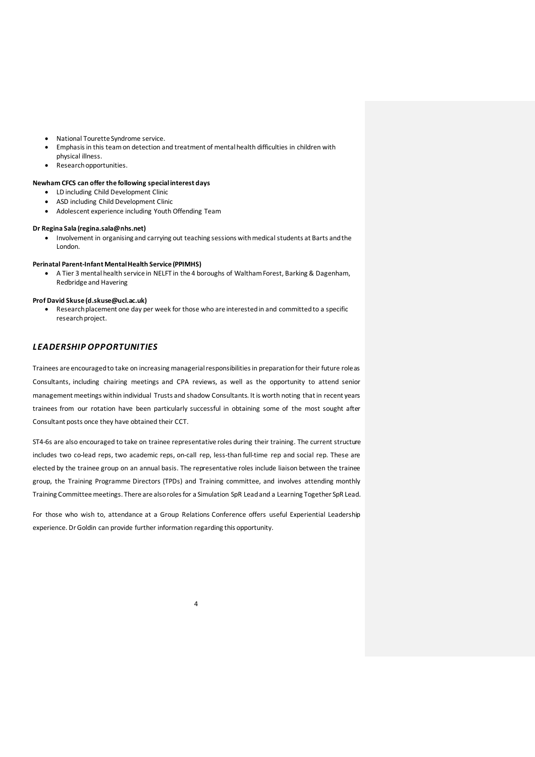- National Tourette Syndrome service.
- Emphasis in this team on detection and treatment of mental health difficulties in children with
- physical illness.
- Research opportunities.

## **Newham CFCS can offer the following special interest days**

- LD including Child Development Clinic
- ASD including Child Development Clinic
- Adolescent experience including Youth Offending Team

#### **Dr Regina Sala (regina.sala@nhs.net)**

• Involvement in organising and carrying out teaching sessions with medical students at Barts and the London.

## **Perinatal Parent-Infant Mental Health Service (PPIMHS)**

• A Tier 3 mental health service in NELFT in the 4 boroughs of Waltham Forest, Barking & Dagenham, Redbridge and Havering

#### **Prof David Skuse (d.skuse@ucl.ac.uk)**

• Research placement one day per week for those who are interested in and committed to a specific research project.

## *LEADERSHIP OPPORTUNITIES*

Trainees are encouraged to take on increasing managerial responsibilities in preparation for their future role as Consultants, including chairing meetings and CPA reviews, as well as the opportunity to attend senior management meetings within individual Trusts and shadow Consultants. It is worth noting that in recent years trainees from our rotation have been particularly successful in obtaining some of the most sought after Consultant posts once they have obtained their CCT.

ST4-6s are also encouraged to take on trainee representative roles during their training. The current structure includes two co-lead reps, two academic reps, on-call rep, less-than full-time rep and social rep. These are elected by the trainee group on an annual basis. The representative roles include liaison between the trainee group, the Training Programme Directors (TPDs) and Training committee, and involves attending monthly Training Committee meetings. There are also roles for a Simulation SpR Lead and a Learning Together SpR Lead.

For those who wish to, attendance at a Group Relations Conference offers useful Experiential Leadership experience. Dr Goldin can provide further information regarding this opportunity.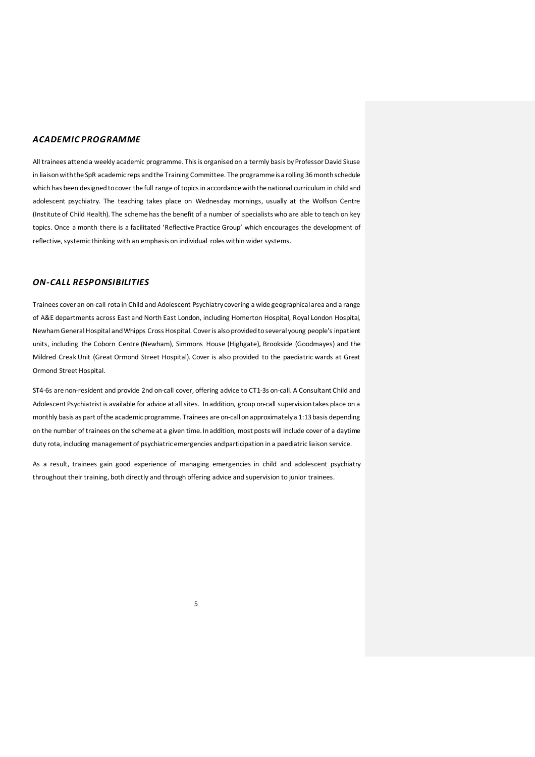## *ACADEMIC PROGRAMME*

All trainees attend a weekly academic programme. This is organised on a termly basis by Professor David Skuse in liaison with the SpR academic reps and the Training Committee. The programme is a rolling 36 month schedule which has been designed tocover the full range of topics in accordance with the national curriculum in child and adolescent psychiatry. The teaching takes place on Wednesday mornings, usually at the Wolfson Centre (Institute of Child Health). The scheme has the benefit of a number of specialists who are able to teach on key topics. Once a month there is a facilitated 'Reflective Practice Group' which encourages the development of reflective, systemic thinking with an emphasis on individual roles within wider systems.

## *ON-CALL RESPONSIBILITIES*

Trainees cover an on-call rota in Child and Adolescent Psychiatry covering a wide geographical area and a range of A&E departments across East and North East London, including Homerton Hospital, Royal London Hospital, Newham General Hospital and Whipps Cross Hospital. Cover is also provided to several young people's inpatient units, including the Coborn Centre (Newham), Simmons House (Highgate), Brookside (Goodmayes) and the Mildred Creak Unit (Great Ormond Street Hospital). Cover is also provided to the paediatric wards at Great Ormond Street Hospital.

ST4-6s are non-resident and provide 2nd on-call cover, offering advice to CT1-3s on-call. A Consultant Child and Adolescent Psychiatrist is available for advice at all sites. In addition, group on-call supervision takes place on a monthly basis as part of the academic programme. Trainees are on-call on approximately a 1:13 basis depending on the number of trainees on the scheme at a given time. In addition, most posts will include cover of a daytime duty rota, including management of psychiatric emergencies and participation in a paediatric liaison service.

As a result, trainees gain good experience of managing emergencies in child and adolescent psychiatry throughout their training, both directly and through offering advice and supervision to junior trainees.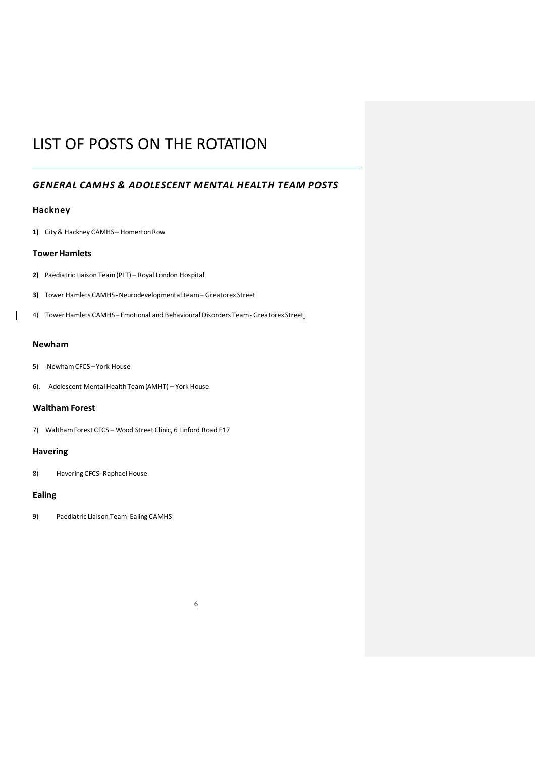# LIST OF POSTS ON THE ROTATION

# *GENERAL CAMHS & ADOLESCENT MENTAL HEALTH TEAM POSTS*

## **Hackney**

**1)** City & Hackney CAMHS – Homerton Row

## **Tower Hamlets**

- **2)** Paediatric Liaison Team (PLT) Royal London Hospital
- **3)** Tower Hamlets CAMHS-Neurodevelopmental team Greatorex Street
- 4) Tower Hamlets CAMHS–Emotional and Behavioural Disorders Team Greatorex Street

## **Newham**

 $\overline{\phantom{a}}$ 

- 5) Newham CFCS York House
- 6). Adolescent Mental Health Team (AMHT) York House

## **Waltham Forest**

7) Waltham Forest CFCS – Wood Street Clinic, 6 Linford Road E17

## **Havering**

8) Havering CFCS- Raphael House

## **Ealing**

9) Paediatric Liaison Team-Ealing CAMHS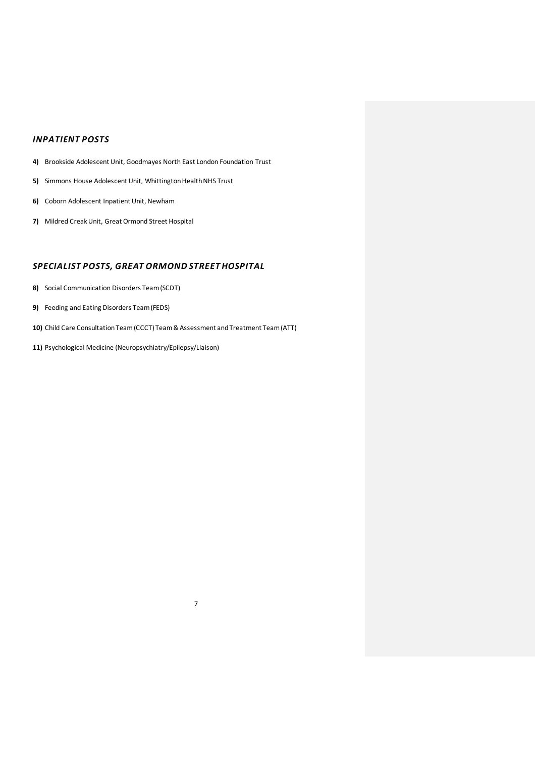## *INPATIENT POSTS*

- **4)** Brookside Adolescent Unit, Goodmayes North East London Foundation Trust
- **5)** Simmons House Adolescent Unit, Whittington Health NHS Trust
- **6)** Coborn Adolescent Inpatient Unit, Newham
- **7)** Mildred Creak Unit, Great Ormond Street Hospital

# *SPECIALIST POSTS, GREAT ORMOND STREET HOSPITAL*

- **8)** Social Communication Disorders Team (SCDT)
- **9)** Feeding and Eating Disorders Team (FEDS)
- **10)** Child Care Consultation Team (CCCT) Team & Assessment and Treatment Team (ATT)

7

**11)** Psychological Medicine (Neuropsychiatry/Epilepsy/Liaison)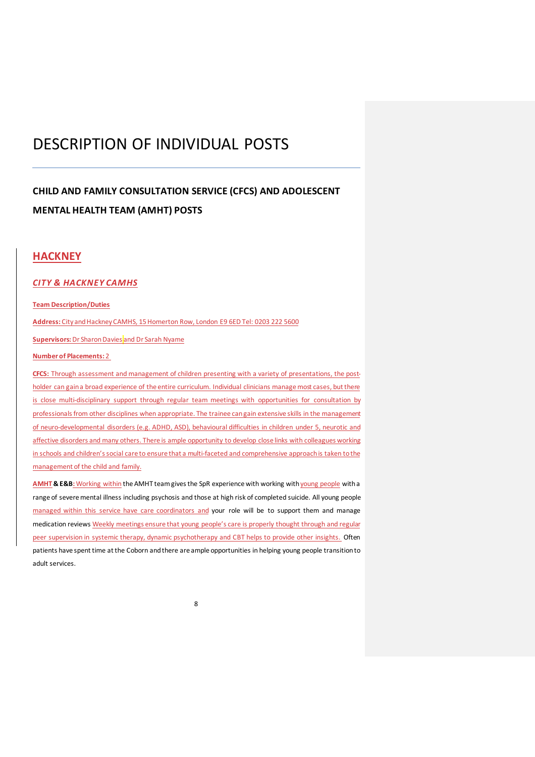# DESCRIPTION OF INDIVIDUAL POSTS

# **CHILD AND FAMILY CONSULTATION SERVICE (CFCS) AND ADOLESCENT MENTAL HEALTH TEAM (AMHT) POSTS**

# **HACKNEY**

## *CITY & HACKNEY CAMHS*

## **Team Description/Duties**

**Address:** City and Hackney CAMHS, 15 Homerton Row, London E9 6ED Tel: 0203 222 5600

**Supervisors: Dr Sharon Davies and Dr Sarah Nyame** 

## **Number of Placements:** 2

**CFCS:** Through assessment and management of children presenting with a variety of presentations, the postholder can gain a broad experience of the entire curriculum. Individual clinicians manage most cases, but there is close multi-disciplinary support through regular team meetings with opportunities for consultation by professionals from other disciplines when appropriate. The trainee can gain extensive skills in the management of neuro-developmental disorders (e.g. ADHD, ASD), behavioural difficulties in children under 5, neurotic and affective disorders and many others. There is ample opportunity to develop close links with colleagues working in schools and children's social care to ensure that a multi-faceted and comprehensive approach is taken to the management of the child and family.

**AMHT & E&B:** Working within the AMHT team gives the SpR experience with working with young people with a range of severe mental illness including psychosis and those at high risk of completed suicide. All young people managed within this service have care coordinators and your role will be to support them and manage medication reviews Weekly meetings ensure that young people's care is properly thought through and regular peer supervision in systemic therapy, dynamic psychotherapy and CBT helps to provide other insights. Often patients have spent time at the Coborn and there are ample opportunities in helping young people transition to adult services.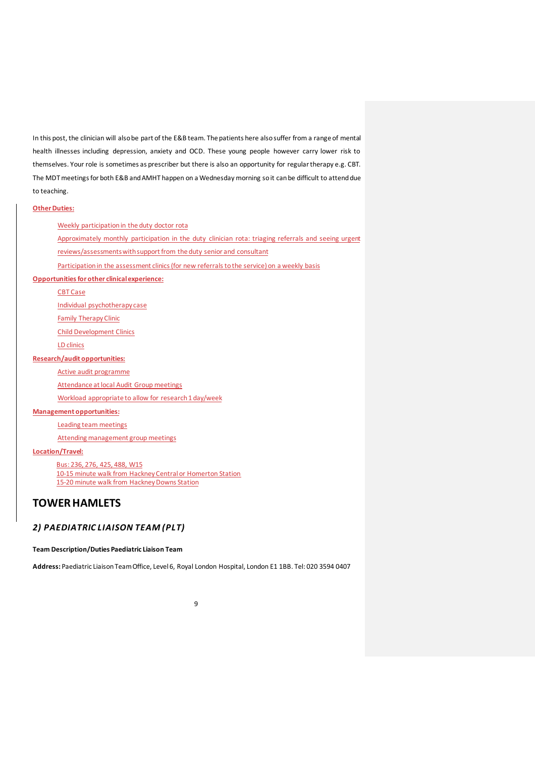In this post, the clinician will also be part of the E&B team. The patients here also suffer from a range of mental health illnesses including depression, anxiety and OCD. These young people however carry lower risk to themselves. Your role is sometimes as prescriber but there is also an opportunity for regular therapy e.g. CBT. The MDT meetings for both E&B and AMHT happen on a Wednesday morning so it can be difficult to attend due to teaching.

#### **Other Duties:**

Weekly participation in the duty doctor rota

Approximately monthly participation in the duty clinician rota: triaging referrals and seeing urgent

reviews/assessments with support from the duty senior and consultant

Participation in the assessment clinics (for new referrals to the service) on a weekly basis

## **Opportunities for other clinical experience:**

CBT Case

Individual psychotherapy case

Family Therapy Clinic

Child Development Clinics

LD clinics

## **Research/audit opportunities:**

Active audit programme

Attendance at local Audit Group meetings

Workload appropriate to allow for research 1 day/week

#### **Management opportunities:**

Leading team meetings

Attending management group meetings

## **Location/Travel:**

Bus: 236, 276, 425, 488, W15

10-15 minute walk from Hackney Central or Homerton Station 15-20 minute walk from Hackney Downs Station

# **TOWER HAMLETS**

## *2) PAEDIATRIC LIAISON TEAM (PLT)*

**Team Description/Duties Paediatric Liaison Team**

**Address:** Paediatric Liaison Team Office, Level 6, Royal London Hospital, London E1 1BB. Tel: 020 3594 0407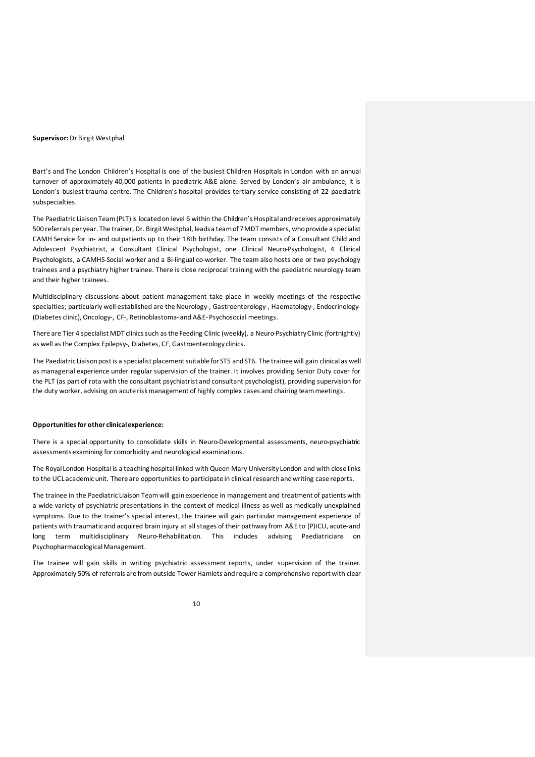#### **Supervisor:**Dr Birgit Westphal

Bart's and The London Children's Hospital is one of the busiest Children Hospitals in London with an annual turnover of approximately 40,000 patients in paediatric A&E alone. Served by London's air ambulance, it is London's busiest trauma centre. The Children's hospital provides tertiary service consisting of 22 paediatric subspecialties.

The Paediatric Liaison Team (PLT) is located on level 6 within the Children's Hospital and receives approximately 500 referrals per year. The trainer, Dr. Birgit Westphal, leads a team of 7 MDT members, who provide a specialist CAMH Service for in- and outpatients up to their 18th birthday. The team consists of a Consultant Child and Adolescent Psychiatrist, a Consultant Clinical Psychologist, one Clinical Neuro-Psychologist, 4 Clinical Psychologists, a CAMHS-Social worker and a Bi-lingual co-worker. The team also hosts one or two psychology trainees and a psychiatry higher trainee. There is close reciprocal training with the paediatric neurology team and their higher trainees.

Multidisciplinary discussions about patient management take place in weekly meetings of the respective specialties; particularly well established are the Neurology-, Gastroenterology-, Haematology-, Endocrinology-(Diabetes clinic), Oncology-, CF-, Retinoblastoma- and A&E-Psychosocial meetings.

There are Tier 4 specialist MDT clinics such as the Feeding Clinic (weekly), a Neuro-Psychiatry Clinic (fortnightly) as well as the Complex Epilepsy-, Diabetes, CF, Gastroenterology clinics.

The Paediatric Liaison post is a specialist placement suitable for ST5 and ST6. The trainee will gain clinical as well as managerial experience under regular supervision of the trainer. It involves providing Senior Duty cover for the PLT (as part of rota with the consultant psychiatrist and consultant psychologist), providing supervision for the duty worker, advising on acute risk management of highly complex cases and chairing team meetings.

#### **Opportunities for other clinical experience:**

There is a special opportunity to consolidate skills in Neuro-Developmental assessments, neuro-psychiatric assessments examining for comorbidity and neurological examinations.

The Royal London Hospital is a teaching hospital linked with Queen Mary University London and with close links to the UCL academic unit. There are opportunities to participate in clinical research and writing case reports.

The trainee in the Paediatric Liaison Team will gain experience in management and treatment of patients with a wide variety of psychiatric presentations in the context of medical illness as well as medically unexplained symptoms. Due to the trainer's special interest, the trainee will gain particular management experience of patients with traumatic and acquired brain injury at all stages of their pathway from A&E to (P)ICU, acute- and long term multidisciplinary Neuro-Rehabilitation. This includes advising Paediatricians on Psychopharmacological Management.

The trainee will gain skills in writing psychiatric assessment reports, under supervision of the trainer. Approximately 50% of referrals are from outside Tower Hamlets and require a comprehensive report with clear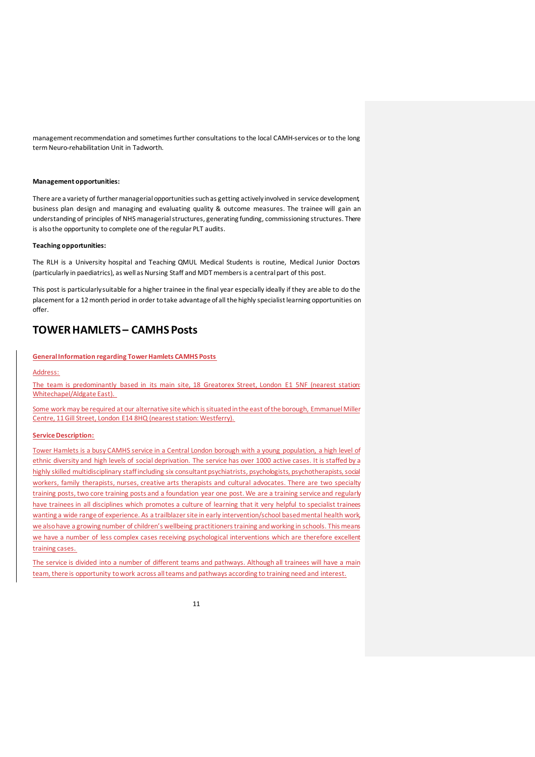management recommendation and sometimes further consultations to the local CAMH-services or to the long term Neuro-rehabilitation Unit in Tadworth.

#### **Management opportunities:**

There are a variety of further managerial opportunities such as getting actively involved in service development, business plan design and managing and evaluating quality & outcome measures. The trainee will gain an understanding of principles of NHS managerial structures, generating funding, commissioning structures. There is also the opportunity to complete one of the regular PLT audits.

#### **Teaching opportunities:**

The RLH is a University hospital and Teaching QMUL Medical Students is routine, Medical Junior Doctors (particularly in paediatrics), as well as Nursing Staff and MDT members is a central part of this post.

This post is particularly suitable for a higher trainee in the final year especially ideally if they are able to do the placement for a 12 month period in order to take advantage of all the highly specialist learning opportunities on offer.

# **TOWER HAMLETS – CAMHS Posts**

#### **General Information regarding Tower Hamlets CAMHS Posts**

## Address:

The team is predominantly based in its main site, 18 Greatorex Street, London E1 5NF (nearest station: Whitechapel/Aldgate East).

Some work may be required at our alternative site which is situated in the east of the borough, Emmanuel Miller Centre, 11 Gill Street, London E14 8HQ (nearest station: Westferry).

#### **Service Description:**

Tower Hamlets is a busy CAMHS service in a Central London borough with a young population, a high level of ethnic diversity and high levels of social deprivation. The service has over 1000 active cases. It is staffed by a highly skilled multidisciplinary staff including six consultant psychiatrists, psychologists, psychotherapists, social workers, family therapists, nurses, creative arts therapists and cultural advocates. There are two specialty training posts, two core training posts and a foundation year one post. We are a training service and regularly have trainees in all disciplines which promotes a culture of learning that it very helpful to specialist trainees wanting a wide range of experience. As a trailblazer site in early intervention/school based mental health work we also have a growing number of children's wellbeing practitioners training and working in schools. This means we have a number of less complex cases receiving psychological interventions which are therefore excellent training cases.

The service is divided into a number of different teams and pathways. Although all trainees will have a main team, there is opportunity to work across all teams and pathways according to training need and interest.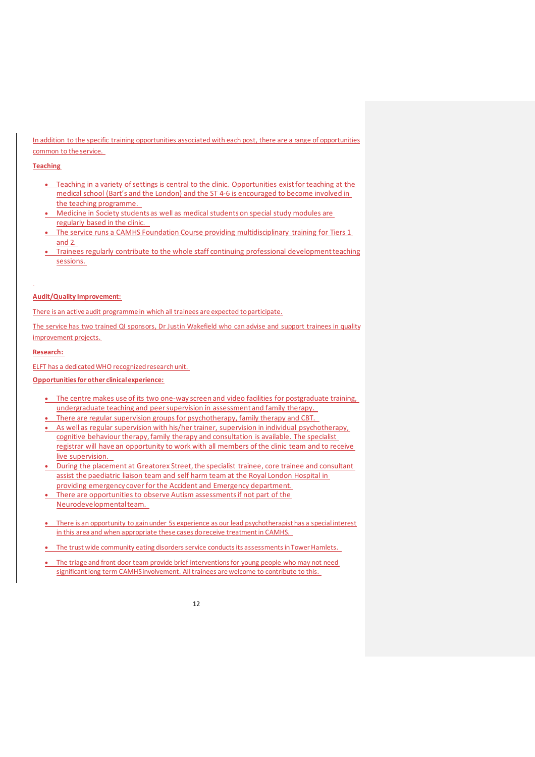In addition to the specific training opportunities associated with each post, there are a range of opportunities common to the service.

### **Teaching**

- Teaching in a variety of settings is central to the clinic. Opportunities exist for teaching at the medical school (Bart's and the London) and the ST 4-6 is encouraged to become involved in the teaching programme.
- Medicine in Society students as well as medical students on special study modules are regularly based in the clinic.
- The service runs a CAMHS Foundation Course providing multidisciplinary training for Tiers 1 and 2.
- Trainees regularly contribute to the whole staff continuing professional development teaching sessions.

#### **Audit/Quality Improvement:**

There is an active audit programme in which all trainees are expected to participate.

The service has two trained QI sponsors, Dr Justin Wakefield who can advise and support trainees in quality improvement projects.

#### **Research:**

ELFT has a dedicated WHO recognized research unit.

**Opportunities for other clinical experience:**

- The centre makes use of its two one-way screen and video facilities for postgraduate training, undergraduate teaching and peer supervision in assessment and family therapy.
- There are regular supervision groups for psychotherapy, family therapy and CBT.
- As well as regular supervision with his/her trainer, supervision in individual psychotherapy, cognitive behaviour therapy, family therapy and consultation is available. The specialist registrar will have an opportunity to work with all members of the clinic team and to receive live supervision.
- During the placement at Greatorex Street, the specialist trainee, core trainee and consultant assist the paediatric liaison team and self harm team at the Royal London Hospital in providing emergency cover for the Accident and Emergency department.
- There are opportunities to observe Autism assessments if not part of the Neurodevelopmental team.
- There is an opportunity to gain under 5s experience as our lead psychotherapist has a special interest in this area and when appropriate these cases do receive treatment in CAMHS.
- The trust wide community eating disorders service conducts its assessments in Tower Hamlets.
- The triage and front door team provide brief interventions for young people who may not need significant long term CAMHS involvement. All trainees are welcome to contribute to this.

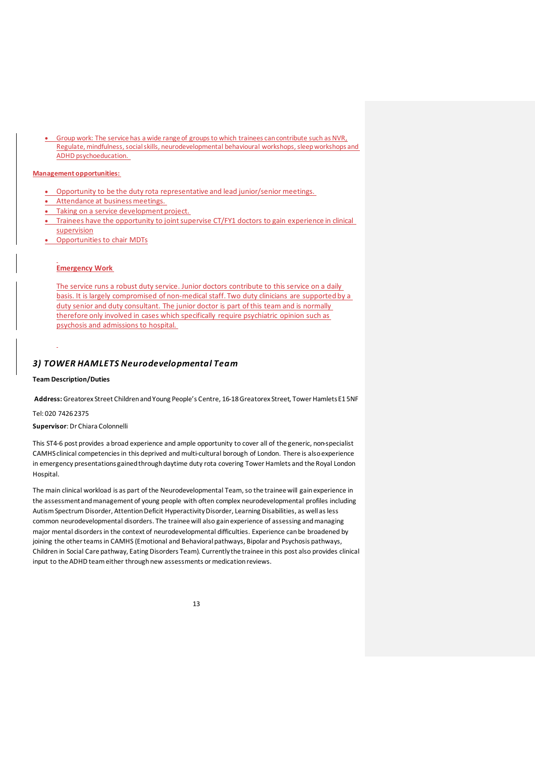• Group work: The service has a wide range of groups to which trainees can contribute such as NVR, Regulate, mindfulness, social skills, neurodevelopmental behavioural workshops, sleep workshops and ADHD psychoeducation.

### **Management opportunities:**

- Opportunity to be the duty rota representative and lead junior/senior meetings.
- Attendance at business meetings.
- Taking on a service development project.
- Trainees have the opportunity to joint supervise CT/FY1 doctors to gain experience in clinical supervision
- Opportunities to chair MDTs

## **Emergency Work**

The service runs a robust duty service. Junior doctors contribute to this service on a daily basis. It is largely compromised of non-medical staff. Two duty clinicians are supported by a duty senior and duty consultant. The junior doctor is part of this team and is normally therefore only involved in cases which specifically require psychiatric opinion such as psychosis and admissions to hospital.

## *3) TOWER HAMLETS Neurodevelopmental Team*

#### **Team Description/Duties**

**Address:**Greatorex Street Children and Young People's Centre, 16-18 Greatorex Street, Tower Hamlets E1 5NF

Tel: 020 7426 2375

## **Supervisor**: Dr Chiara Colonnelli

This ST4-6 post provides a broad experience and ample opportunity to cover all of the generic, non-specialist CAMHS clinical competencies in this deprived and multi-cultural borough of London. There is also experience in emergency presentations gained through daytime duty rota covering Tower Hamlets and the Royal London Hospital.

The main clinical workload is as part of the Neurodevelopmental Team, so the trainee will gain experience in the assessment and management of young people with often complex neurodevelopmental profiles including Autism Spectrum Disorder, Attention Deficit Hyperactivity Disorder, Learning Disabilities, as well as less common neurodevelopmental disorders. The trainee will also gain experience of assessing and managing major mental disorders in the context of neurodevelopmental difficulties. Experience can be broadened by joining the other teams in CAMHS (Emotional and Behavioral pathways, Bipolar and Psychosis pathways, Children in Social Care pathway, Eating Disorders Team). Currently the trainee in this post also provides clinical input to the ADHD team either through new assessments or medication reviews.

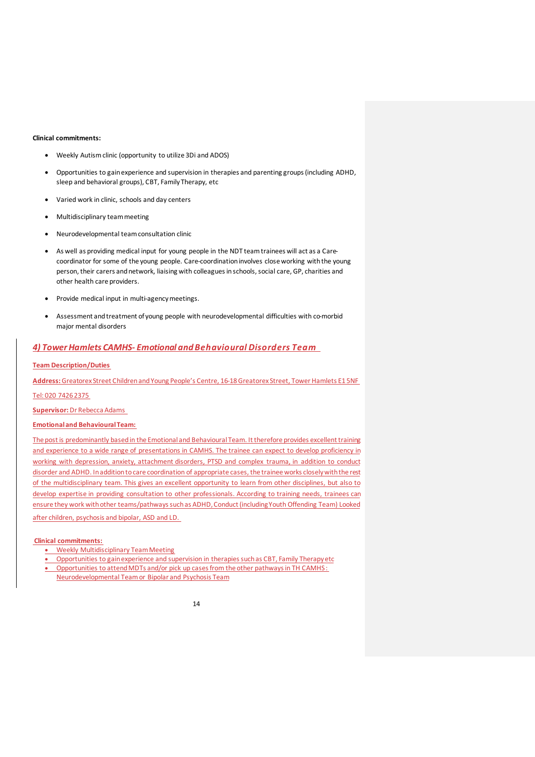#### **Clinical commitments:**

- Weekly Autism clinic (opportunity to utilize 3Di and ADOS)
- Opportunities to gain experience and supervision in therapies and parenting groups (including ADHD, sleep and behavioral groups), CBT, Family Therapy, etc
- Varied work in clinic, schools and day centers
- Multidisciplinary team meeting
- Neurodevelopmental team consultation clinic
- As well as providing medical input for young people in the NDT team trainees will act as a Carecoordinator for some of the young people. Care-coordination involves close working with the young person, their carers and network, liaising with colleagues in schools, social care, GP, charities and other health care providers.
- Provide medical input in multi-agency meetings.
- Assessment and treatment of young people with neurodevelopmental difficulties with co-morbid major mental disorders

## *4) Tower Hamlets CAMHS- Emotional and Behavioural Disorders Team*

#### **Team Description/Duties**

**Address:**Greatorex Street Children and Young People's Centre, 16-18 Greatorex Street, Tower Hamlets E1 5NF

Tel: 020 7426 2375

**Supervisor:**Dr Rebecca Adams

#### **Emotional and Behavioural Team:**

The post is predominantly based in the Emotional and Behavioural Team. It therefore provides excellent training and experience to a wide range of presentations in CAMHS. The trainee can expect to develop proficiency in working with depression, anxiety, attachment disorders, PTSD and complex trauma, in addition to conduct disorder and ADHD. In addition to care coordination of appropriate cases, the trainee works closely with the rest of the multidisciplinary team. This gives an excellent opportunity to learn from other disciplines, but also to develop expertise in providing consultation to other professionals. According to training needs, trainees can ensure they work with other teams/pathways such as ADHD, Conduct (including Youth Offending Team) Looked

after children, psychosis and bipolar, ASD and LD.

#### **Clinical commitments:**

- Weekly Multidisciplinary Team Meeting
- Opportunities to gain experience and supervision in therapies such as CBT, Family Therapy etc • Opportunities to attend MDTs and/or pick up cases from the other pathways in TH CAMHS : Neurodevelopmental Team or Bipolar and Psychosis Team

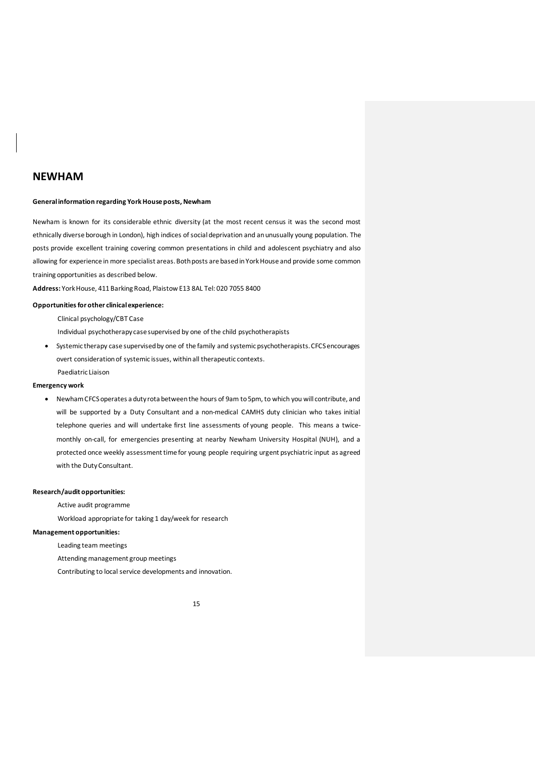## **NEWHAM**

#### **General information regarding York House posts, Newham**

Newham is known for its considerable ethnic diversity (at the most recent census it was the second most ethnically diverse borough in London), high indices of social deprivation and an unusually young population. The posts provide excellent training covering common presentations in child and adolescent psychiatry and also allowing for experience in more specialist areas. Both posts are based in York House and provide some common training opportunities as described below.

**Address:** York House, 411 Barking Road, Plaistow E13 8AL Tel: 020 7055 8400

## **Opportunities for other clinical experience:**

Clinical psychology/CBT Case

Individual psychotherapy casesupervised by one of the child psychotherapists

• Systemic therapy case supervised by one of the family and systemic psychotherapists. CFCS encourages overt consideration of systemic issues, within all therapeutic contexts. Paediatric Liaison

#### **Emergency work**

• Newham CFCS operates a duty rota between the hours of 9am to 5pm, to which you will contribute, and will be supported by a Duty Consultant and a non-medical CAMHS duty clinician who takes initial telephone queries and will undertake first line assessments of young people. This means a twicemonthly on-call, for emergencies presenting at nearby Newham University Hospital (NUH), and a protected once weekly assessment time for young people requiring urgent psychiatric input as agreed with the Duty Consultant.

### **Research/audit opportunities:**

Active audit programme

Workload appropriate for taking 1 day/week for research

## **Management opportunities:**

Leading team meetings

Attending management group meetings

Contributing to local service developments and innovation.

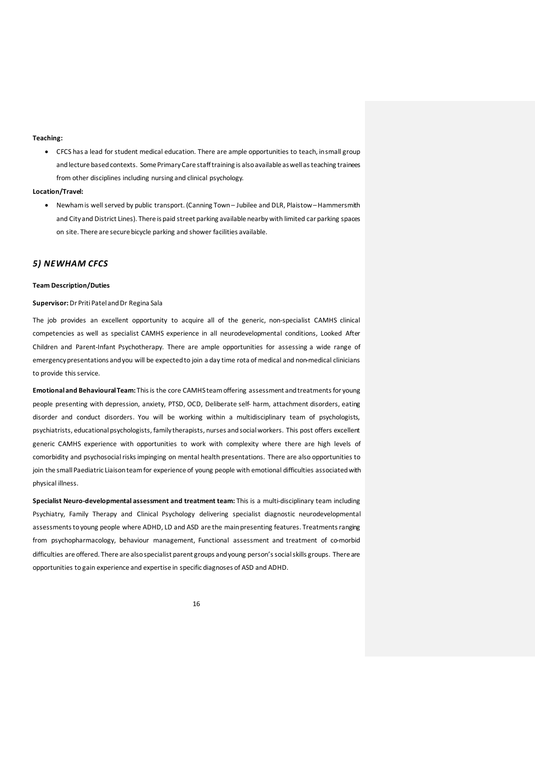#### **Teaching:**

• CFCS has a lead for student medical education. There are ample opportunities to teach, in small group and lecture based contexts. Some Primary Care stafftraining is also available as well as teaching trainees from other disciplines including nursing and clinical psychology.

## **Location/Travel:**

• Newhamis well served by public transport. (Canning Town – Jubilee and DLR, Plaistow –Hammersmith and City and District Lines). There is paid street parking available nearby with limited car parking spaces on site. There are secure bicycle parking and shower facilities available.

## *5) NEWHAM CFCS*

#### **Team Description/Duties**

## **Supervisor:** Dr Priti Patel and Dr Regina Sala

The job provides an excellent opportunity to acquire all of the generic, non-specialist CAMHS clinical competencies as well as specialist CAMHS experience in all neurodevelopmental conditions, Looked After Children and Parent-Infant Psychotherapy. There are ample opportunities for assessing a wide range of emergency presentations and you will be expected to join a day time rota of medical and non-medical clinicians to provide this service.

**Emotional and Behavioural Team:** This is the core CAMHS team offering assessment and treatments for young people presenting with depression, anxiety, PTSD, OCD, Deliberate self- harm, attachment disorders, eating disorder and conduct disorders. You will be working within a multidisciplinary team of psychologists, psychiatrists, educational psychologists, family therapists, nurses and social workers. This post offers excellent generic CAMHS experience with opportunities to work with complexity where there are high levels of comorbidity and psychosocial risks impinging on mental health presentations. There are also opportunities to join the small Paediatric Liaison team for experience of young people with emotional difficulties associated with physical illness.

**Specialist Neuro-developmental assessment and treatment team:** This is a multi-disciplinary team including Psychiatry, Family Therapy and Clinical Psychology delivering specialist diagnostic neurodevelopmental assessments to young people where ADHD, LD and ASD are the main presenting features. Treatments ranging from psychopharmacology, behaviour management, Functional assessment and treatment of co-morbid difficulties are offered. There are also specialist parent groups and young person's social skills groups. There are opportunities to gain experience and expertise in specific diagnoses of ASD and ADHD.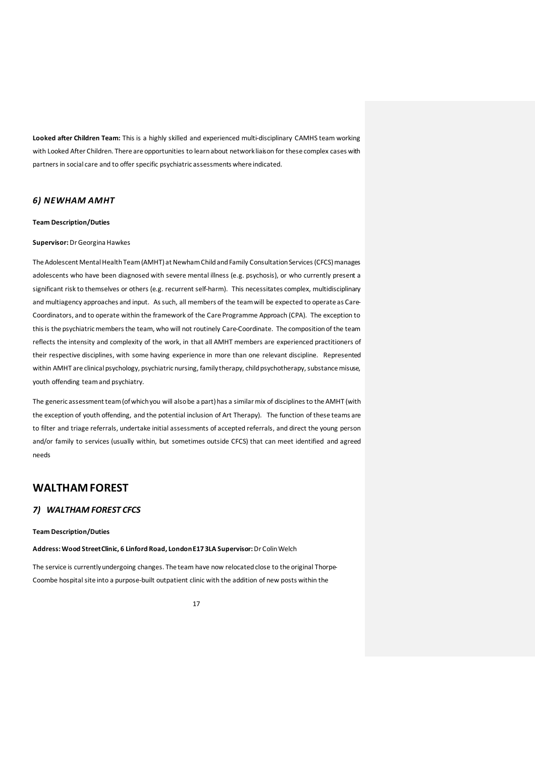**Looked after Children Team:** This is a highly skilled and experienced multi-disciplinary CAMHS team working with Looked After Children. There are opportunities to learn about network liaison for these complex cases with partners in social care and to offer specific psychiatric assessments where indicated.

## *6) NEWHAM AMHT*

#### **Team Description/Duties**

### **Supervisor:** Dr Georgina Hawkes

The Adolescent Mental Health Team (AMHT) at Newham Child and Family Consultation Services (CFCS) manages adolescents who have been diagnosed with severe mental illness (e.g. psychosis), or who currently present a significant risk to themselves or others (e.g. recurrent self-harm). This necessitates complex, multidisciplinary and multiagency approaches and input. As such, all members of the team will be expected to operate as Care-Coordinators, and to operate within the framework of the Care Programme Approach (CPA). The exception to this is the psychiatric members the team, who will not routinely Care-Coordinate. The composition of the team reflects the intensity and complexity of the work, in that all AMHT members are experienced practitioners of their respective disciplines, with some having experience in more than one relevant discipline. Represented within AMHT are clinical psychology, psychiatric nursing, family therapy, child psychotherapy, substance misuse, youth offending team and psychiatry.

The generic assessment team (of which you will also be a part) has a similar mix of disciplines to the AMHT (with the exception of youth offending, and the potential inclusion of Art Therapy). The function of these teams are to filter and triage referrals, undertake initial assessments of accepted referrals, and direct the young person and/or family to services (usually within, but sometimes outside CFCS) that can meet identified and agreed needs

# **WALTHAM FOREST**

## *7) WALTHAM FOREST CFCS*

#### **Team Description/Duties**

**Address: Wood Street Clinic, 6 Linford Road, London E17 3LA Supervisor:** Dr Colin Welch

The service is currently undergoing changes. The team have now relocated close to the original Thorpe-Coombe hospital site into a purpose-built outpatient clinic with the addition of new posts within the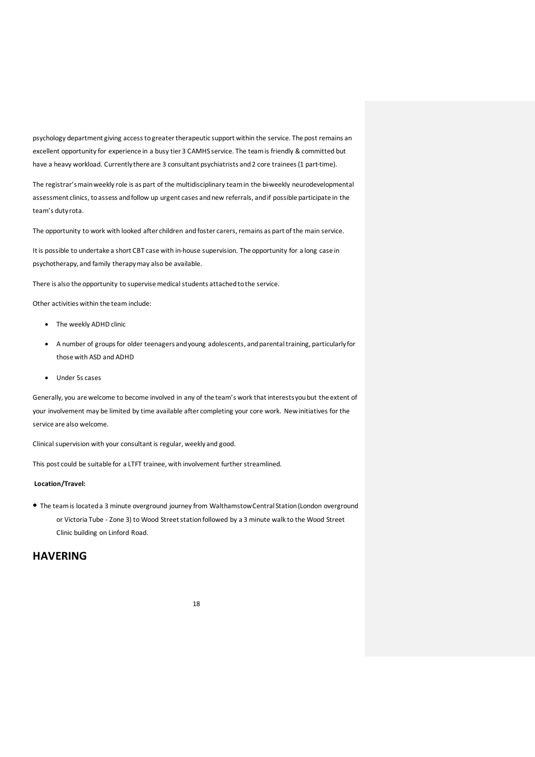psychology department giving access to greater therapeutic support within the service. The post remains an excellent opportunity for experience in a busy tier 3 CAMHS service. The team is friendly & committed but have a heavy workload. Currently there are 3 consultant psychiatrists and 2 core trainees (1 part-time).

The registrar's main weekly role is as part of the multidisciplinary team in the bi-weekly neurodevelopmental assessment clinics, to assess and follow up urgent cases and new referrals, and if possible participate in the team's duty rota.

The opportunity to work with looked after children and foster carers, remains as part of the main service.

It is possible to undertake a short CBT case with in-house supervision. The opportunity for a long case in psychotherapy, and family therapy may also be available.

There is also the opportunity to supervise medical students attached to the service.

Other activities within the team include:

- The weekly ADHD clinic
- A number of groups for older teenagers andyoung adolescents, andparental training, particularly for those with ASD and ADHD
- Under 5s cases

Generally, you are welcome to become involved in any of the team's work that interestsyou but the extent of your involvement may be limited by time available after completing your core work. New initiatives for the service are also welcome.

Clinical supervision with your consultant is regular, weekly and good.

This post could be suitable for a LTFT trainee, with involvement further streamlined.

### **Location/Travel:**

• The team is located a 3 minute overground journey from WalthamstowCentral Station (London overground or Victoria Tube - Zone 3) to Wood Street station followed by a 3 minute walk to the Wood Street Clinic building on Linford Road.

# **HAVERING**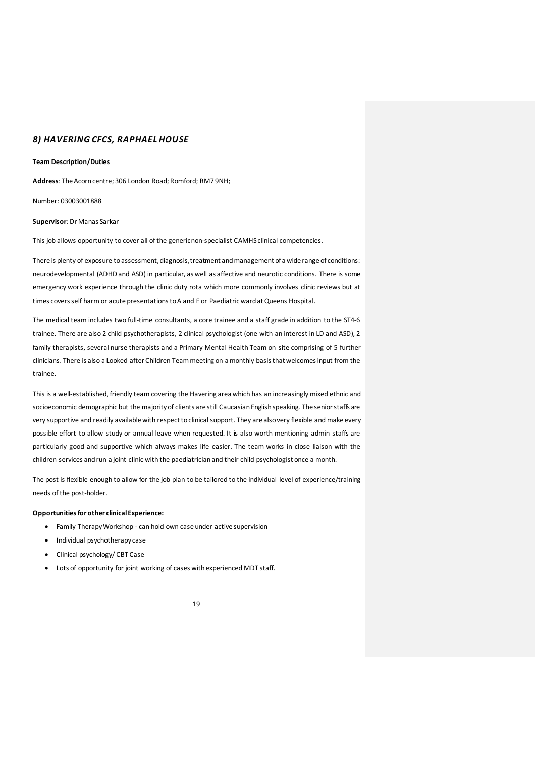## *8) HAVERING CFCS, RAPHAEL HOUSE*

#### **Team Description/Duties**

**Address**: The Acorn centre; 306 London Road; Romford; RM7 9NH;

Number: 03003001888

#### **Supervisor**: Dr Manas Sarkar

This job allows opportunity to cover all of the generic non-specialist CAMHS clinical competencies.

There is plenty of exposure to assessment, diagnosis, treatment and management of a wide range of conditions: neurodevelopmental (ADHDand ASD) in particular, as well as affective and neurotic conditions. There is some emergency work experience through the clinic duty rota which more commonly involves clinic reviews but at times coversself harm or acute presentations to A and E or Paediatric ward at Queens Hospital.

The medical team includes two full-time consultants, a core trainee and a staff grade in addition to the ST4-6 trainee. There are also 2 child psychotherapists, 2 clinical psychologist (one with an interest in LD and ASD), 2 family therapists, several nurse therapists and a Primary Mental Health Team on site comprising of 5 further clinicians. There is also a Looked after Children Team meeting on amonthly basis that welcomesinput from the trainee.

This is a well-established, friendly team covering the Havering area which has an increasingly mixed ethnic and socioeconomic demographic but the majority of clients are still Caucasian English speaking. The senior staffs are very supportive and readily available with respect to clinical support. They are also very flexible and make every possible effort to allow study or annual leave when requested. It is also worth mentioning admin staffs are particularly good and supportive which always makes life easier. The team works in close liaison with the children services and run a joint clinic with the paediatrician and their child psychologist once a month.

The post is flexible enough to allow for the job plan to be tailored to the individual level of experience/training needs of the post-holder.

## **Opportunities for other clinical Experience:**

- Family Therapy Workshop can hold own case under active supervision
- Individual psychotherapy case
- Clinical psychology/ CBT Case
- Lots of opportunity for joint working of cases with experienced MDT staff.
	- 19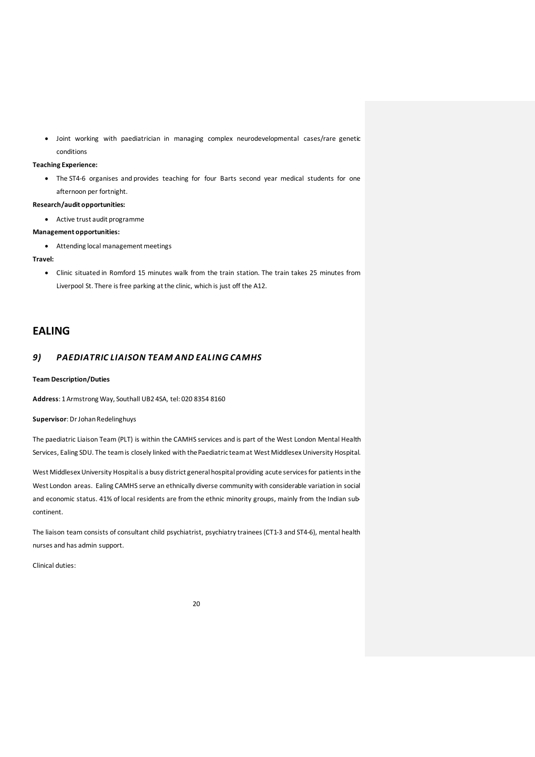• Joint working with paediatrician in managing complex neurodevelopmental cases/rare genetic conditions

## **Teaching Experience:**

• The ST4-6 organises and provides teaching for four Barts second year medical students for one afternoon per fortnight.

### **Research/audit opportunities:**

• Active trust audit programme

#### **Management opportunities:**

• Attending local management meetings

#### **Travel:**

• Clinic situated in Romford 15 minutes walk from the train station. The train takes 25 minutes from Liverpool St. There is free parking at the clinic, which is just off the A12.

## **EALING**

## *9) PAEDIATRIC LIAISON TEAM AND EALING CAMHS*

#### **Team Description/Duties**

**Address**: 1 Armstrong Way, Southall UB2 4SA, tel: 020 8354 8160

#### **Supervisor**: Dr Johan Redelinghuys

The paediatric Liaison Team (PLT) is within the CAMHS services and is part of the West London Mental Health Services, Ealing SDU. The team is closely linked with the Paediatric team at West Middlesex University Hospital.

West Middlesex University Hospital is a busy district general hospital providing acute services for patients in the West London areas. Ealing CAMHS serve an ethnically diverse community with considerable variation in social and economic status. 41% of local residents are from the ethnic minority groups, mainly from the Indian subcontinent.

The liaison team consists of consultant child psychiatrist, psychiatry trainees (CT1-3 and ST4-6), mental health nurses and has admin support.

Clinical duties: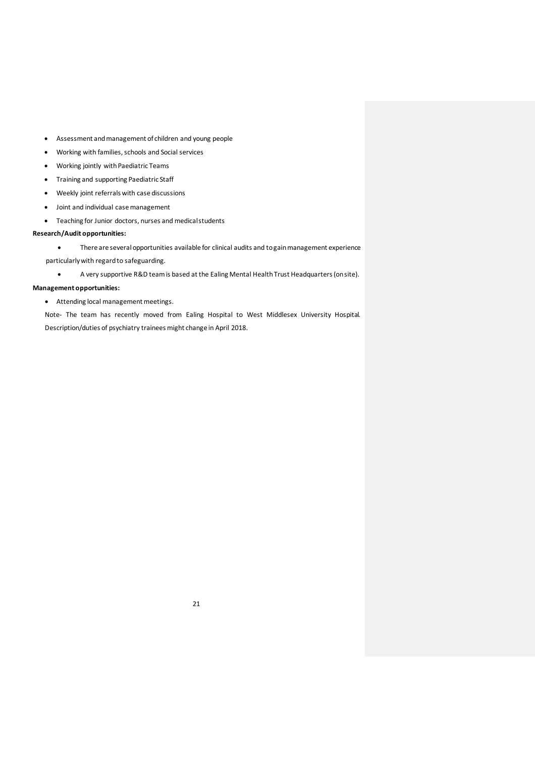- Assessment and management of children and young people
- Working with families, schools and Social services
- Working jointly with Paediatric Teams
- Training and supporting Paediatric Staff
- Weekly joint referrals with case discussions
- Joint and individual case management
- Teaching for Junior doctors, nurses and medicalstudents

## **Research/Audit opportunities:**

- There are several opportunities available for clinical audits and to gain management experience particularly with regard to safeguarding.
	- A very supportive R&D team is based at the Ealing Mental Health Trust Headquarters (on site).

## **Management opportunities:**

• Attending local management meetings.

Note- The team has recently moved from Ealing Hospital to West Middlesex University Hospital. Description/duties of psychiatry trainees might change in April 2018.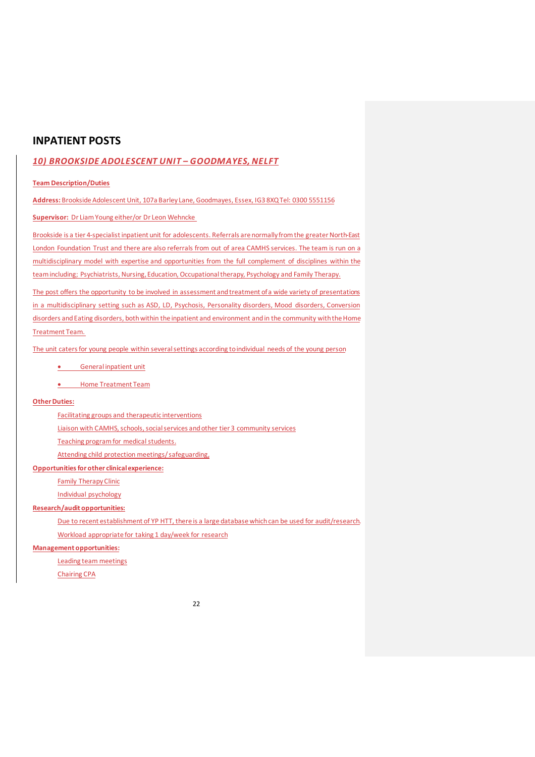# **INPATIENT POSTS**

## *10) BROOKSIDE ADOLESCENT UNIT – GOODMAYES, NELFT*

## **Team Description/Duties**

**Address:** Brookside Adolescent Unit, 107a Barley Lane, Goodmayes, Essex, IG3 8XQ Tel: 0300 5551156

**Supervisor:** Dr Liam Young either/or Dr Leon Wehncke

Brookside is a tier 4-specialist inpatient unit for adolescents. Referrals are normally from the greater North-East London Foundation Trust and there are also referrals from out of area CAMHS services. The team is run on a multidisciplinary model with expertise and opportunities from the full complement of disciplines within the team including; Psychiatrists, Nursing, Education, Occupational therapy, Psychology and Family Therapy.

The post offers the opportunity to be involved in assessment and treatment ofa wide variety of presentations in a multidisciplinary setting such as ASD, LD, Psychosis, Personality disorders, Mood disorders, Conversion disorders and Eating disorders, both within the inpatient and environment and in the community with the Home Treatment Team.

The unit caters for young people within several settings according to individual needs of the young person

• General inpatient unit

• Home Treatment Team

## **Other Duties:**

Facilitating groups and therapeutic interventions

Liaison with CAMHS, schools, social services and other tier 3 community services

Teaching program for medical students.

Attending child protection meetings/ safeguarding,

## **Opportunities for other clinical experience:**

Family Therapy Clinic

Individual psychology

## **Research/audit opportunities:**

Due to recent establishment of YP HTT, there is a large database which can be used for audit/research.

Workload appropriate for taking 1 day/week for research

## **Management opportunities:**

Leading team meetings

Chairing CPA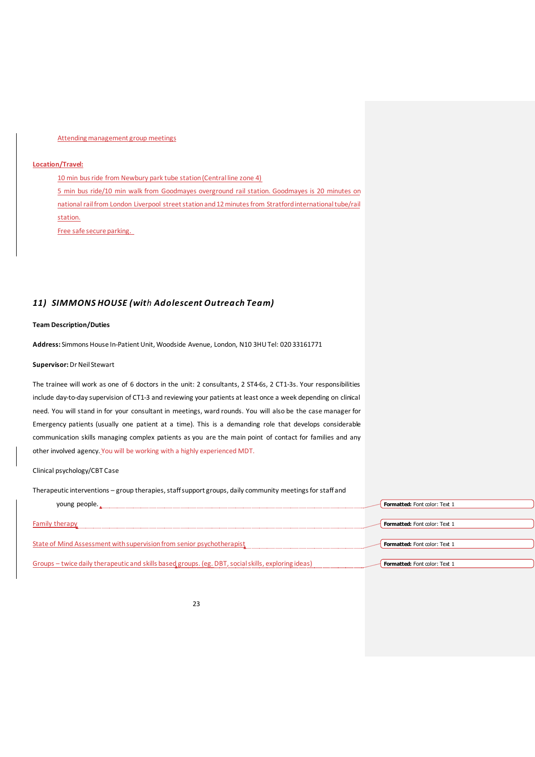### Attending management group meetings

## **Location/Travel:**

10 min bus ride from Newbury park tube station (Central line zone 4) 5 min bus ride/10 min walk from Goodmayes overground rail station. Goodmayes is 20 minutes on national rail from London Liverpool street station and 12 minutes from Stratford international tube/rail station. Free safe secure parking.

## *11) SIMMONS HOUSE (with Adolescent Outreach Team)*

#### **Team Description/Duties**

**Address:** Simmons House In-Patient Unit, Woodside Avenue, London, N10 3HU Tel: 020 33161771

### **Supervisor:** Dr Neil Stewart

The trainee will work as one of 6 doctors in the unit: 2 consultants, 2 ST4-6s, 2 CT1-3s. Your responsibilities include day-to-day supervision of CT1-3 and reviewing your patients at least once a week depending on clinical need. You will stand in for your consultant in meetings, ward rounds. You will also be the case manager for Emergency patients (usually one patient at a time). This is a demanding role that develops considerable communication skills managing complex patients as you are the main point of contact for families and any other involved agency. You will be working with a highly experienced MDT.

### Clinical psychology/CBT Case

Therapeutic interventions – group therapies, staff support groups, daily community meetings for staff and

| young people.                                                                                       | <b>Formatted:</b> Font color: Text 1 |
|-----------------------------------------------------------------------------------------------------|--------------------------------------|
|                                                                                                     |                                      |
| Family therapy                                                                                      | <b>Formatted:</b> Font color: Text 1 |
|                                                                                                     |                                      |
| State of Mind Assessment with supervision from senior psychotherapist                               | <b>Formatted:</b> Font color: Text 1 |
|                                                                                                     |                                      |
| Groups – twice daily therapeutic and skills based groups. (eg. DBT, social skills, exploring ideas) | Formatted: Font color: Text 1        |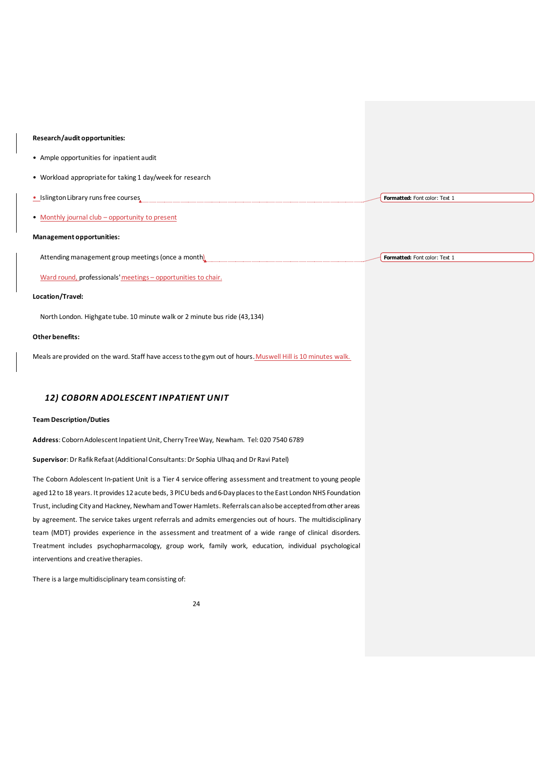#### **Research/audit opportunities:**

- Ample opportunities for inpatient audit
- Workload appropriate for taking 1 day/week for research
- Islington Library runs free courses **Formatted:** Font color: Text 1
- Monthly journal club opportunity to present

## **Management opportunities:**

Attending management group meetings (once a month) **Formatted:** Font color: Text 1

Ward round, professionals'meetings – opportunities to chair.

#### **Location/Travel:**

North London. Highgate tube. 10 minute walk or 2 minute bus ride (43,134)

#### **Other benefits:**

Meals are provided on the ward. Staff have access to the gym out of hours. Muswell Hill is 10 minutes walk.

## *12) COBORN ADOLESCENT INPATIENT UNIT*

#### **Team Description/Duties**

**Address**: Coborn Adolescent Inpatient Unit, Cherry Tree Way, Newham. Tel: 020 7540 6789

**Supervisor**: Dr Rafik Refaat (Additional Consultants: Dr Sophia Ulhaq and Dr Ravi Patel)

The Coborn Adolescent In-patient Unit is a Tier 4 service offering assessment and treatment to young people aged 12 to 18 years. It provides 12 acute beds, 3 PICU beds and 6-Day places to the East London NHS Foundation Trust, including City and Hackney, Newham and Tower Hamlets. Referrals can also be accepted from other areas by agreement. The service takes urgent referrals and admits emergencies out of hours. The multidisciplinary team (MDT) provides experience in the assessment and treatment of a wide range of clinical disorders. Treatment includes psychopharmacology, group work, family work, education, individual psychological interventions and creative therapies.

There is a large multidisciplinary team consisting of: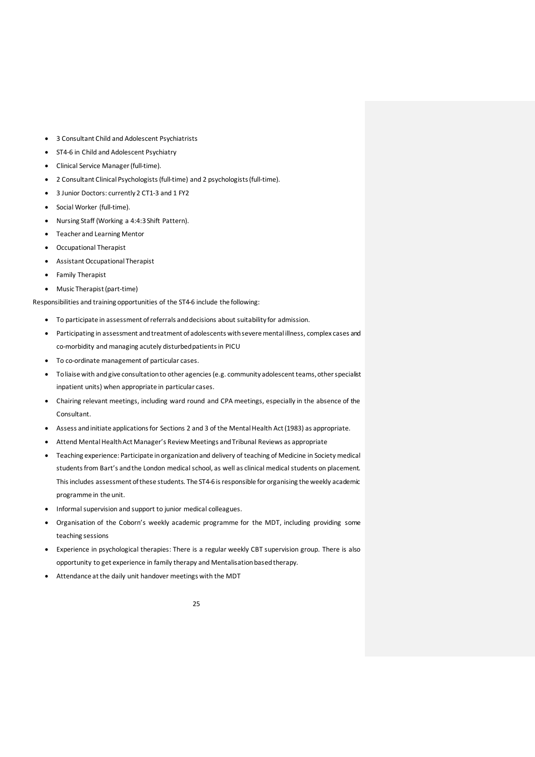- 3 Consultant Child and Adolescent Psychiatrists
- ST4-6 in Child and Adolescent Psychiatry
- Clinical Service Manager (full-time).
- 2 Consultant Clinical Psychologists (full-time) and 2 psychologists(full-time).
- 3 Junior Doctors: currently 2 CT1-3 and 1 FY2
- Social Worker (full-time).
- Nursing Staff (Working a 4:4:3 Shift Pattern).
- Teacher and Learning Mentor
- Occupational Therapist
- Assistant Occupational Therapist
- Family Therapist
- Music Therapist(part-time)

Responsibilities and training opportunities of the ST4-6 include the following:

- To participate in assessment of referrals and decisions about suitability for admission.
- Participating in assessment and treatment of adolescents with severe mental illness, complex cases and co-morbidity and managing acutely disturbed patients in PICU
- To co-ordinate management of particular cases.
- Toliaise with and give consultation to other agencies (e.g. community adolescent teams, other specialist inpatient units) when appropriate in particular cases.
- Chairing relevant meetings, including ward round and CPA meetings, especially in the absence of the Consultant.
- Assess and initiate applications for Sections 2 and 3 of the Mental Health Act (1983) as appropriate.
- Attend Mental Health Act Manager's Review Meetings and Tribunal Reviews as appropriate
- Teaching experience: Participate in organization and delivery of teaching of Medicine in Society medical students from Bart's and the London medical school, as well as clinical medical students on placement. This includes assessment of these students. The ST4-6 is responsible for organising the weekly academic programme in the unit.
- Informal supervision and support to junior medical colleagues.
- Organisation of the Coborn's weekly academic programme for the MDT, including providing some teaching sessions
- Experience in psychological therapies: There is a regular weekly CBT supervision group. There is also opportunity to get experience in family therapy and Mentalisation based therapy.
- Attendance at the daily unit handover meetings with the MDT

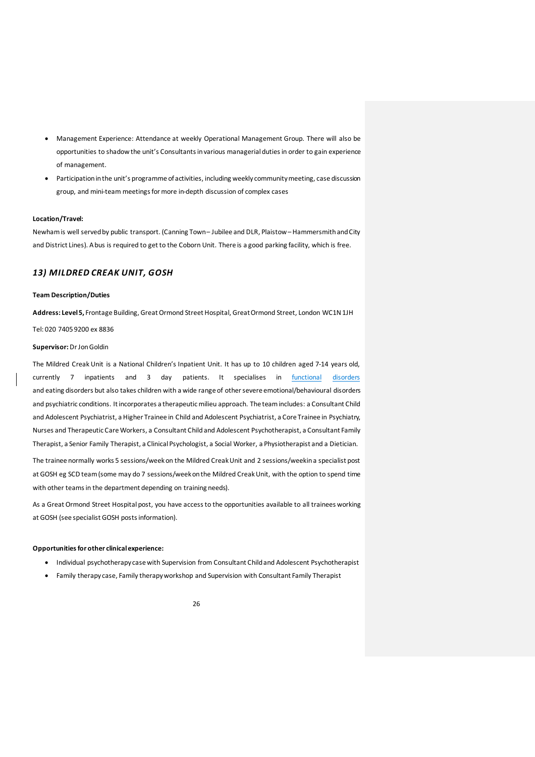- Management Experience: Attendance at weekly Operational Management Group. There will also be opportunities to shadow the unit's Consultants in various managerial duties in order to gain experience of management.
- Participation in the unit's programme of activities, including weekly community meeting, case discussion group, and mini-team meetings for more in-depth discussion of complex cases

#### **Location/Travel:**

Newham is well served by public transport. (Canning Town – Jubilee and DLR, Plaistow –Hammersmith and City and District Lines). A bus is required to get to the Coborn Unit. There is a good parking facility, which is free.

## *13) MILDRED CREAK UNIT, GOSH*

#### **Team Description/Duties**

**Address: Level 5,** Frontage Building, Great Ormond Street Hospital, Great Ormond Street, London WC1N 1JH

#### Tel: 020 7405 9200 ex 8836

#### **Supervisor:** Dr Jon Goldin

The Mildred Creak Unit is a National Children's Inpatient Unit. It has up to 10 children aged 7-14 years old, currently 7 inpatients and 3 day patients. It specialises in functional disorders and eating disorders but also takes children with a wide range of other severe emotional/behavioural disorders and psychiatric conditions. It incorporates a therapeutic milieu approach. The team includes: a Consultant Child and Adolescent Psychiatrist, a Higher Trainee in Child and Adolescent Psychiatrist, a Core Trainee in Psychiatry, Nurses and Therapeutic Care Workers, a Consultant Child and Adolescent Psychotherapist, a Consultant Family Therapist, a Senior Family Therapist, a Clinical Psychologist, a Social Worker, a Physiotherapist and a Dietician.

The trainee normally works 5 sessions/week on the Mildred Creak Unit and 2 sessions/week in a specialist post at GOSH eg SCD team (some may do 7 sessions/week on the Mildred Creak Unit, with the option to spend time with other teams in the department depending on training needs).

As a Great Ormond Street Hospital post, you have access to the opportunities available to all trainees working at GOSH (see specialist GOSH posts information).

### **Opportunities for other clinical experience:**

- Individual psychotherapy case with Supervision from Consultant Child and Adolescent Psychotherapist
- Family therapy case, Family therapy workshop and Supervision with Consultant Family Therapist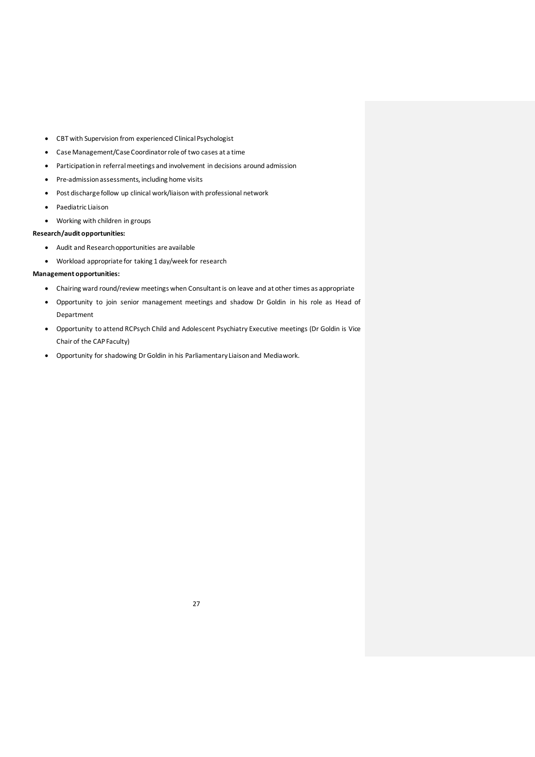- CBT with Supervision from experienced Clinical Psychologist
- Case Management/Case Coordinatorrole of two cases at a time
- Participation in referral meetings and involvement in decisions around admission
- Pre-admission assessments, including home visits
- Post discharge follow up clinical work/liaison with professional network
- Paediatric Liaison
- Working with children in groups

## **Research/audit opportunities:**

- Audit and Research opportunities are available
- Workload appropriate for taking 1 day/week for research

## **Management opportunities:**

- Chairing ward round/review meetings when Consultant is on leave and at other times as appropriate
- Opportunity to join senior management meetings and shadow Dr Goldin in his role as Head of Department
- Opportunity to attend RCPsych Child and Adolescent Psychiatry Executive meetings (Dr Goldin is Vice Chair of the CAP Faculty)
- Opportunity for shadowing Dr Goldin in his Parliamentary Liaison and Mediawork.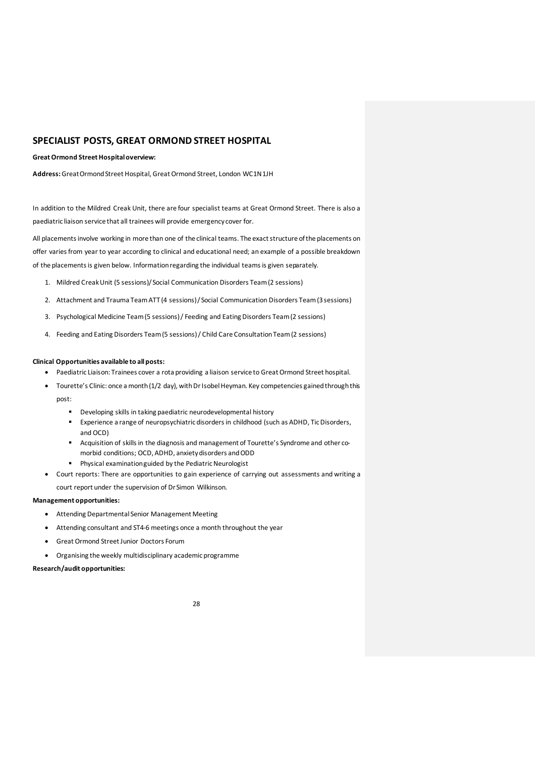## **SPECIALIST POSTS, GREAT ORMOND STREET HOSPITAL**

## **Great Ormond Street Hospital overview:**

**Address:** Great Ormond Street Hospital, Great Ormond Street, London WC1N1JH

In addition to the Mildred Creak Unit, there are four specialist teams at Great Ormond Street. There is also a paediatric liaison service that all trainees will provide emergency cover for.

All placements involve working in more than one of the clinical teams. The exact structure of the placements on offer varies from year to year according to clinical and educational need; an example of a possible breakdown of the placements is given below. Information regarding the individual teams is given separately.

- 1. Mildred Creak Unit (5 sessions)/ Social Communication Disorders Team (2 sessions)
- 2. Attachment and Trauma Team ATT (4 sessions)/ Social Communication Disorders Team (3 sessions)
- 3. Psychological Medicine Team(5 sessions)/ Feeding and Eating Disorders Team(2 sessions)
- 4. Feeding and Eating Disorders Team (5 sessions)/ Child Care Consultation Team (2 sessions)

#### **Clinical Opportunities available to all posts:**

- Paediatric Liaison: Trainees cover a rota providing a liaison service to Great Ormond Street hospital.
- Tourette's Clinic: once a month (1/2 day), with Dr Isobel Heyman. Key competencies gained through this post:
	- Developing skills in taking paediatric neurodevelopmental history
	- Experience a range of neuropsychiatric disorders in childhood (such as ADHD, Tic Disorders, and OCD)
	- Acquisition of skills in the diagnosis and management of Tourette's Syndrome and other comorbid conditions; OCD, ADHD, anxiety disorders and ODD
	- Physical examinationguided by the Pediatric Neurologist
- Court reports: There are opportunities to gain experience of carrying out assessments and writing a
- court report under the supervision of Dr Simon Wilkinson.

## **Management opportunities:**

- Attending Departmental Senior Management Meeting
- Attending consultant and ST4-6 meetings once a month throughout the year
- Great Ormond Street Junior Doctors Forum
- Organising the weekly multidisciplinary academic programme

#### **Research/audit opportunities:**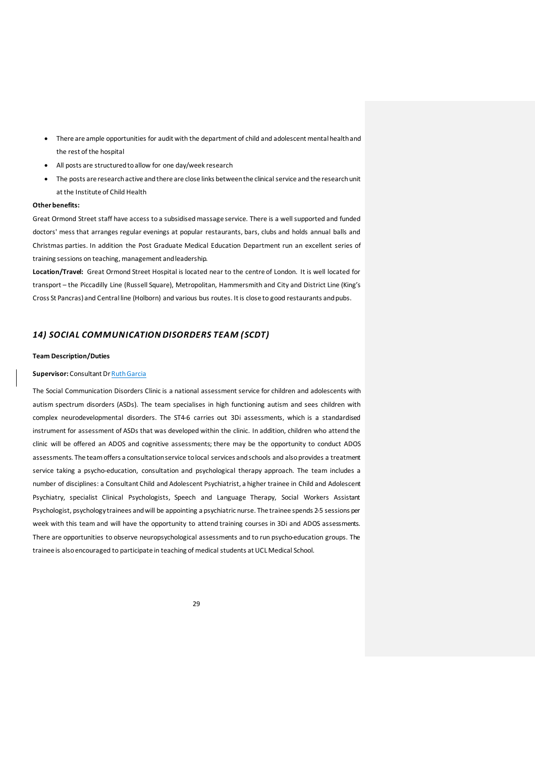- There are ample opportunities for audit with the department of child and adolescent mental health and the rest of the hospital
- All posts are structured to allow for one day/week research
- The posts are research active and there are close links between the clinical service and the research unit at the Institute of Child Health

#### **Other benefits:**

Great Ormond Street staff have access to a subsidised massage service. There is a well supported and funded doctors' mess that arranges regular evenings at popular restaurants, bars, clubs and holds annual balls and Christmas parties. In addition the Post Graduate Medical Education Department run an excellent series of training sessions on teaching, management and leadership.

**Location/Travel:** Great Ormond Street Hospital is located near to the centre of London. It is well located for transport – the Piccadilly Line (Russell Square), Metropolitan, Hammersmith and City and District Line (King's Cross St Pancras) and Central line (Holborn) and various bus routes. It is close to good restaurants and pubs.

## *14) SOCIAL COMMUNICATION DISORDERS TEAM (SCDT)*

## **Team Description/Duties**

## **Supervisor:** Consultant Dr Ruth Garcia

The Social Communication Disorders Clinic is a national assessment service for children and adolescents with autism spectrum disorders (ASDs). The team specialises in high functioning autism and sees children with complex neurodevelopmental disorders. The ST4-6 carries out 3Di assessments, which is a standardised instrument for assessment of ASDs that was developed within the clinic. In addition, children who attend the clinic will be offered an ADOS and cognitive assessments; there may be the opportunity to conduct ADOS assessments. The team offers a consultation service to local services and schools and also provides a treatment service taking a psycho-education, consultation and psychological therapy approach. The team includes a number of disciplines: a Consultant Child and Adolescent Psychiatrist, a higher trainee in Child and Adolescent Psychiatry, specialist Clinical Psychologists, Speech and Language Therapy, Social Workers Assistant Psychologist, psychology trainees and will be appointing a psychiatric nurse. The trainee spends 2-5 sessions per week with this team and will have the opportunity to attend training courses in 3Di and ADOS assessments. There are opportunities to observe neuropsychological assessments and to run psycho-education groups. The trainee is also encouraged to participate in teaching of medical students at UCL Medical School.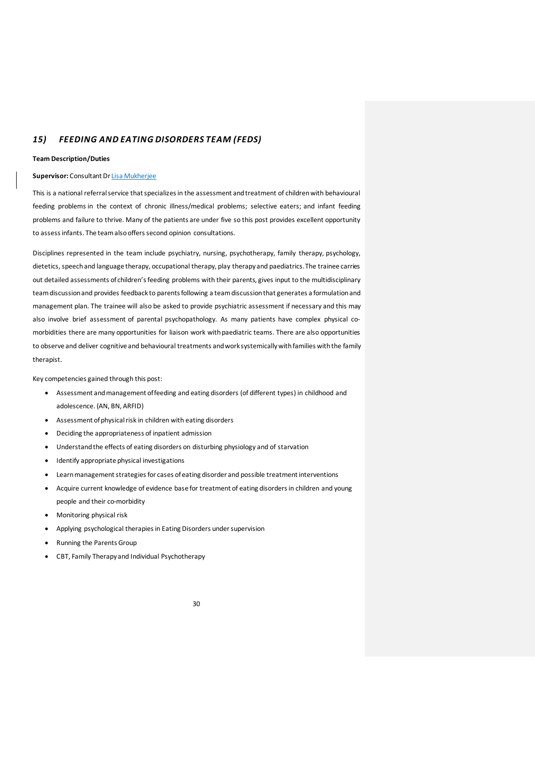## *15) FEEDING AND EATING DISORDERS TEAM (FEDS)*

#### **Team Description/Duties**

#### **Supervisor:** Consultant Dr Lisa Mukherjee

This is a national referral service that specializes in the assessment and treatment of childrenwith behavioural feeding problems in the context of chronic illness/medical problems; selective eaters; and infant feeding problems and failure to thrive. Many of the patients are under five so this post provides excellent opportunity to assess infants. The team also offers second opinion consultations.

Disciplines represented in the team include psychiatry, nursing, psychotherapy, family therapy, psychology, dietetics, speech and language therapy, occupational therapy, play therapy and paediatrics. The trainee carries out detailed assessments of children's feeding problems with their parents, gives input to the multidisciplinary team discussionand provides feedback to parents following a team discussion that generates a formulation and management plan. The trainee will also be asked to provide psychiatric assessment if necessary and this may also involve brief assessment of parental psychopathology. As many patients have complex physical comorbidities there are many opportunities for liaison work withpaediatric teams. There are also opportunities to observe and deliver cognitive and behavioural treatments and work systemically with families with the family therapist.

Key competencies gained through this post:

- Assessment and management of feeding and eating disorders (of different types) in childhood and adolescence. (AN, BN, ARFID)
- Assessment of physical risk in children with eating disorders
- Deciding the appropriateness of inpatient admission
- Understand the effects of eating disorders on disturbing physiology and of starvation
- Identify appropriate physical investigations
- Learn management strategies for cases of eating disorder and possible treatment interventions
- Acquire current knowledge of evidence base for treatment of eating disorders in children and young people and their co-morbidity
- Monitoring physical risk
- Applying psychological therapies in Eating Disorders under supervision
- Running the Parents Group
- CBT, Family Therapy and Individual Psychotherapy

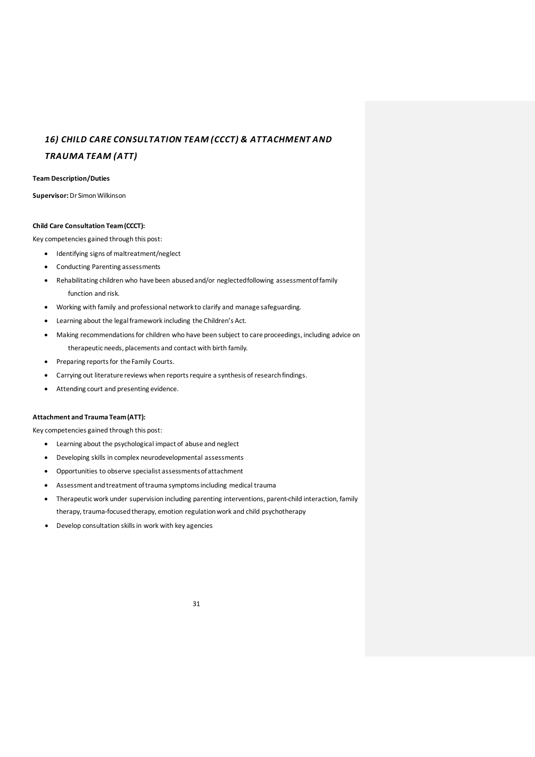# *16) CHILD CARE CONSULTATION TEAM (CCCT) & ATTACHMENT AND*

## *TRAUMA TEAM (ATT)*

## **Team Description/Duties**

**Supervisor:**Dr Simon Wilkinson

## **Child Care Consultation Team (CCCT):**

Key competencies gained through this post:

- Identifying signs of maltreatment/neglect
- Conducting Parenting assessments
- Rehabilitating children who have been abused and/or neglected following assessment of family function and risk.
- Working with family and professional network to clarify and manage safeguarding.
- Learning about the legal framework including the Children's Act.
- Making recommendations for children who have been subject to care proceedings, including advice on therapeutic needs, placements and contact with birth family.
- Preparing reports for the Family Courts.
- Carrying out literature reviews when reports require a synthesis of research findings.
- Attending court and presenting evidence.

## **Attachment and Trauma Team(ATT):**

Key competencies gained through this post:

- Learning about the psychological impact of abuse and neglect
- Developing skills in complex neurodevelopmental assessments
- Opportunities to observe specialist assessments of attachment
- Assessment and treatment of trauma symptomsincluding medical trauma
- Therapeutic work under supervision including parenting interventions, parent-child interaction, family therapy, trauma-focused therapy, emotion regulation work and child psychotherapy
- Develop consultation skills in work with key agencies

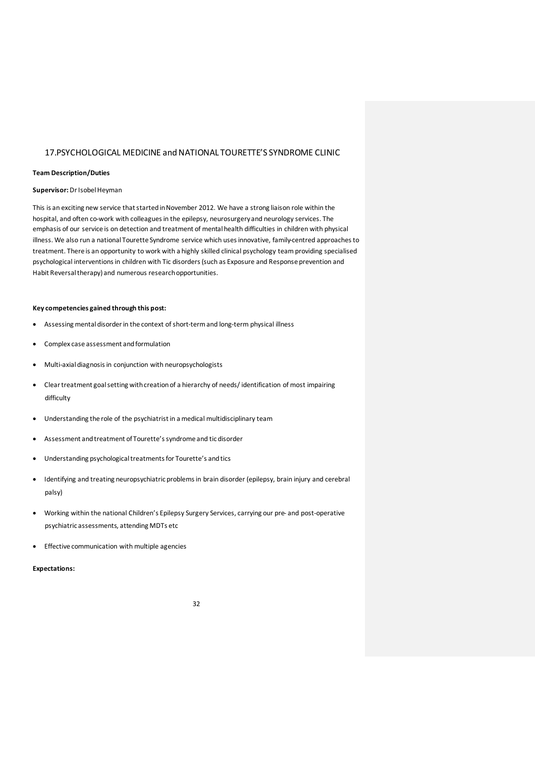## 17.PSYCHOLOGICAL MEDICINE and NATIONAL TOURETTE'S SYNDROME CLINIC

#### **Team Description/Duties**

#### **Supervisor:** Dr Isobel Heyman

This is an exciting new service that started in November 2012. We have a strong liaison role within the hospital, and often co-work with colleagues in the epilepsy, neurosurgery and neurology services. The emphasis of our service is on detection and treatment of mental health difficulties in children with physical illness. We also run a national Tourette Syndrome service which uses innovative, family-centred approaches to treatment. There is an opportunity to work with a highly skilled clinical psychology team providing specialised psychological interventions in children with Tic disorders (such as Exposure and Response prevention and Habit Reversal therapy) and numerous research opportunities.

## **Key competencies gained through this post:**

- Assessing mental disorder in the context of short-term and long-term physical illness
- Complex case assessment and formulation
- Multi-axial diagnosis in conjunction with neuropsychologists
- Clear treatment goal setting with creation of a hierarchy of needs/ identification of most impairing difficulty
- Understanding the role of the psychiatrist in a medical multidisciplinary team
- Assessment and treatment of Tourette's syndrome and tic disorder
- Understanding psychological treatments for Tourette's and tics
- Identifying and treating neuropsychiatric problems in brain disorder (epilepsy, brain injury and cerebral palsy)
- Working within the national Children's Epilepsy Surgery Services, carrying our pre- and post-operative psychiatric assessments, attending MDTs etc
- Effective communication with multiple agencies

## **Expectations:**